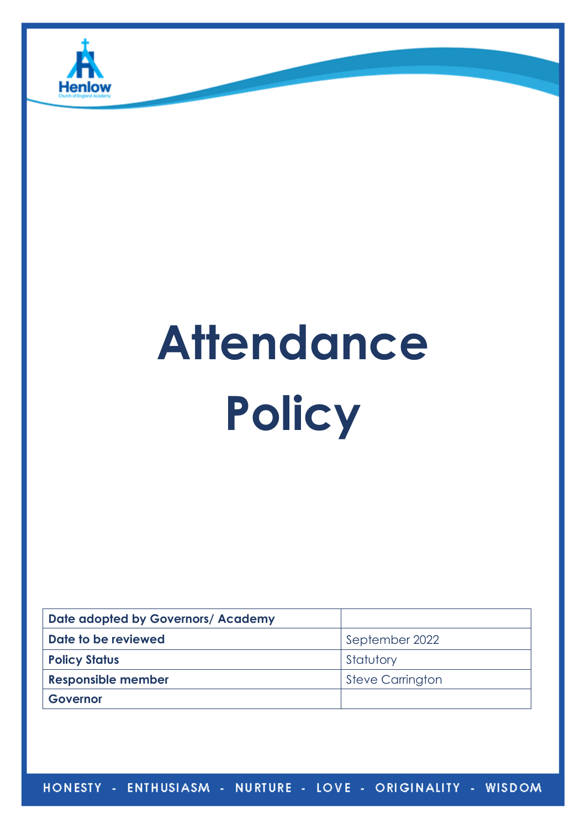

# **Attendance Policy**

| Date adopted by Governors/ Academy |                         |
|------------------------------------|-------------------------|
| Date to be reviewed                | September 2022          |
| <b>Policy Status</b>               | Statutory               |
| <b>Responsible member</b>          | <b>Steve Carrington</b> |
| Governor                           |                         |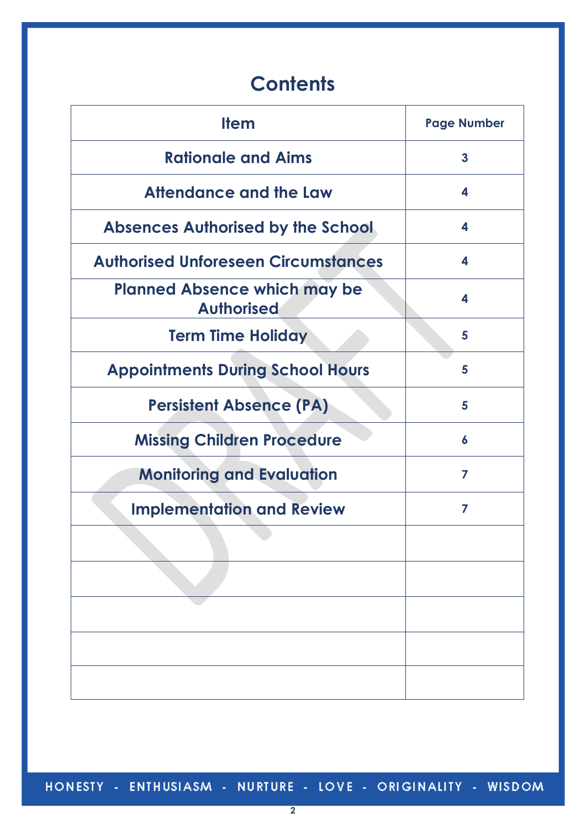# **Contents**

| <b>Item</b>                                              | <b>Page Number</b> |
|----------------------------------------------------------|--------------------|
| <b>Rationale and Aims</b>                                | 3                  |
| Attendance and the Law                                   | 4                  |
| <b>Absences Authorised by the School</b>                 | 4                  |
| <b>Authorised Unforeseen Circumstances</b>               | 4                  |
| <b>Planned Absence which may be</b><br><b>Authorised</b> | 4                  |
| <b>Term Time Holiday</b>                                 | 5                  |
| <b>Appointments During School Hours</b>                  | 5                  |
| <b>Persistent Absence (PA)</b>                           | 5                  |
| <b>Missing Children Procedure</b>                        | 6                  |
| <b>Monitoring and Evaluation</b>                         | 7                  |
| <b>Implementation and Review</b>                         | 7                  |
|                                                          |                    |
|                                                          |                    |
|                                                          |                    |
|                                                          |                    |
|                                                          |                    |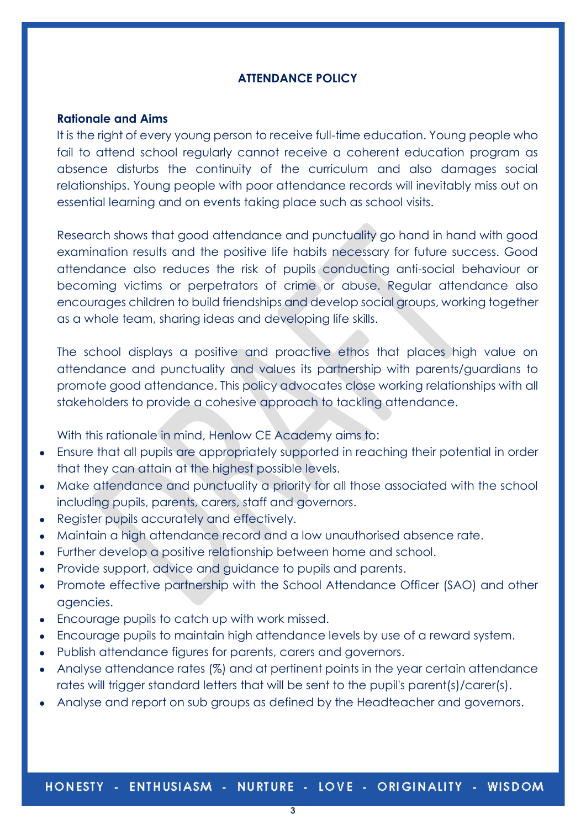# **ATTENDANCE POLICY**

## **Rationale and Aims**

It is the right of every young person to receive full-time education. Young people who fail to attend school regularly cannot receive a coherent education program as absence disturbs the continuity of the curriculum and also damages social relationships. Young people with poor attendance records will inevitably miss out on essential learning and on events taking place such as school visits.

Research shows that good attendance and punctuality go hand in hand with good examination results and the positive life habits necessary for future success. Good attendance also reduces the risk of pupils conducting anti-social behaviour or becoming victims or perpetrators of crime or abuse. Regular attendance also encourages children to build friendships and develop social groups, working together as a whole team, sharing ideas and developing life skills.

The school displays a positive and proactive ethos that places high value on attendance and punctuality and values its partnership with parents/guardians to promote good attendance. This policy advocates close working relationships with all stakeholders to provide a cohesive approach to tackling attendance.

With this rationale in mind, Henlow CE Academy aims to:

- Ensure that all pupils are appropriately supported in reaching their potential in order that they can attain at the highest possible levels.
- Make attendance and punctuality a priority for all those associated with the school including pupils, parents, carers, staff and governors.
- Register pupils accurately and effectively.
- Maintain a high attendance record and a low unauthorised absence rate.
- Further develop a positive relationship between home and school.
- Provide support, advice and guidance to pupils and parents.
- Promote effective partnership with the School Attendance Officer (SAO) and other agencies.
- Encourage pupils to catch up with work missed.
- Encourage pupils to maintain high attendance levels by use of a reward system.
- Publish attendance figures for parents, carers and governors.
- Analyse attendance rates (%) and at pertinent points in the year certain attendance rates will trigger standard letters that will be sent to the pupil's parent(s)/carer(s).
- Analyse and report on sub groups as defined by the Headteacher and governors.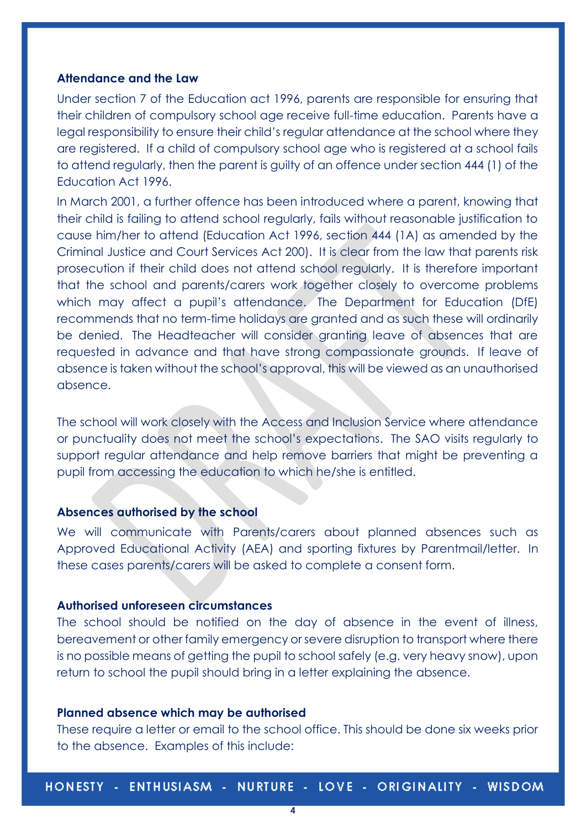#### **Attendance and the Law**

Under section 7 of the Education act 1996, parents are responsible for ensuring that their children of compulsory school age receive full-time education. Parents have a legal responsibility to ensure their child's regular attendance at the school where they are registered. If a child of compulsory school age who is registered at a school fails to attend regularly, then the parent is guilty of an offence under section 444 (1) of the Education Act 1996.

In March 2001, a further offence has been introduced where a parent, knowing that their child is failing to attend school regularly, fails without reasonable justification to cause him/her to attend (Education Act 1996, section 444 (1A) as amended by the Criminal Justice and Court Services Act 200). It is clear from the law that parents risk prosecution if their child does not attend school regularly. It is therefore important that the school and parents/carers work together closely to overcome problems which may affect a pupil's attendance. The Department for Education (DfE) recommends that no term-time holidays are granted and as such these will ordinarily be denied. The Headteacher will consider granting leave of absences that are requested in advance and that have strong compassionate grounds. If leave of absence is taken without the school's approval, this will be viewed as an unauthorised absence.

The school will work closely with the Access and Inclusion Service where attendance or punctuality does not meet the school's expectations. The SAO visits regularly to support regular attendance and help remove barriers that might be preventing a pupil from accessing the education to which he/she is entitled.

# **Absences authorised by the school**

We will communicate with Parents/carers about planned absences such as Approved Educational Activity (AEA) and sporting fixtures by Parentmail/letter. In these cases parents/carers will be asked to complete a consent form.

# **Authorised unforeseen circumstances**

The school should be notified on the day of absence in the event of illness, bereavement or other family emergency or severe disruption to transport where there is no possible means of getting the pupil to school safely (e.g. very heavy snow), upon return to school the pupil should bring in a letter explaining the absence.

#### **Planned absence which may be authorised**

These require a letter or email to the school office. This should be done six weeks prior to the absence. Examples of this include: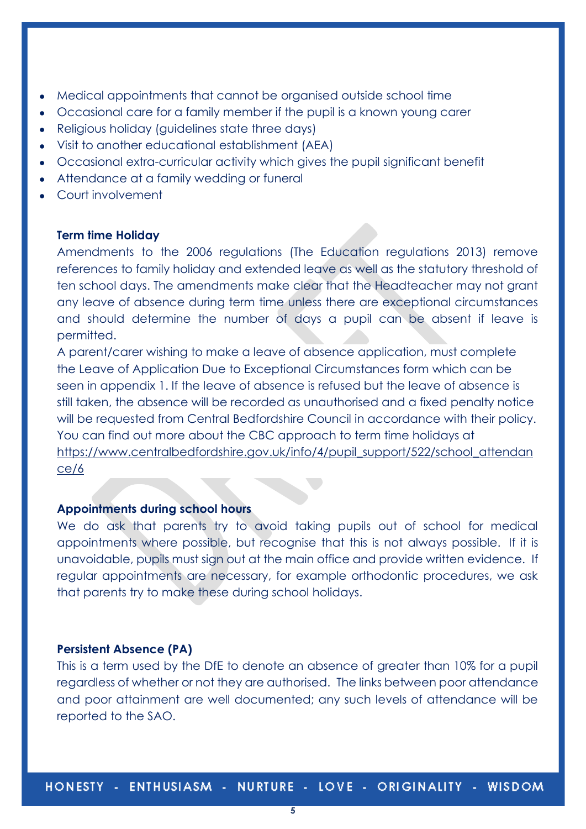- Medical appointments that cannot be organised outside school time
- Occasional care for a family member if the pupil is a known young carer
- Religious holiday (quidelines state three days)
- Visit to another educational establishment (AEA)
- Occasional extra-curricular activity which gives the pupil significant benefit
- Attendance at a family wedding or funeral
- Court involvement

# **Term time Holiday**

Amendments to the 2006 regulations (The Education regulations 2013) remove references to family holiday and extended leave as well as the statutory threshold of ten school days. The amendments make clear that the Headteacher may not grant any leave of absence during term time unless there are exceptional circumstances and should determine the number of days a pupil can be absent if leave is permitted.

A parent/carer wishing to make a leave of absence application, must complete the Leave of Application Due to Exceptional Circumstances form which can be seen in appendix 1. If the leave of absence is refused but the leave of absence is still taken, the absence will be recorded as unauthorised and a fixed penalty notice will be requested from Central Bedfordshire Council in accordance with their policy. You can find out more about the CBC approach to term time holidays at [https://www.centralbedfordshire.gov.uk/info/4/pupil\\_support/522/school\\_attendan](https://www.centralbedfordshire.gov.uk/info/4/pupil_support/522/school_attendance/6) [ce/6](https://www.centralbedfordshire.gov.uk/info/4/pupil_support/522/school_attendance/6)

## **Appointments during school hours**

We do ask that parents try to avoid taking pupils out of school for medical appointments where possible, but recognise that this is not always possible. If it is unavoidable, pupils must sign out at the main office and provide written evidence. If regular appointments are necessary, for example orthodontic procedures, we ask that parents try to make these during school holidays.

#### **Persistent Absence (PA)**

This is a term used by the DfE to denote an absence of greater than 10% for a pupil regardless of whether or not they are authorised. The links between poor attendance and poor attainment are well documented; any such levels of attendance will be reported to the SAO.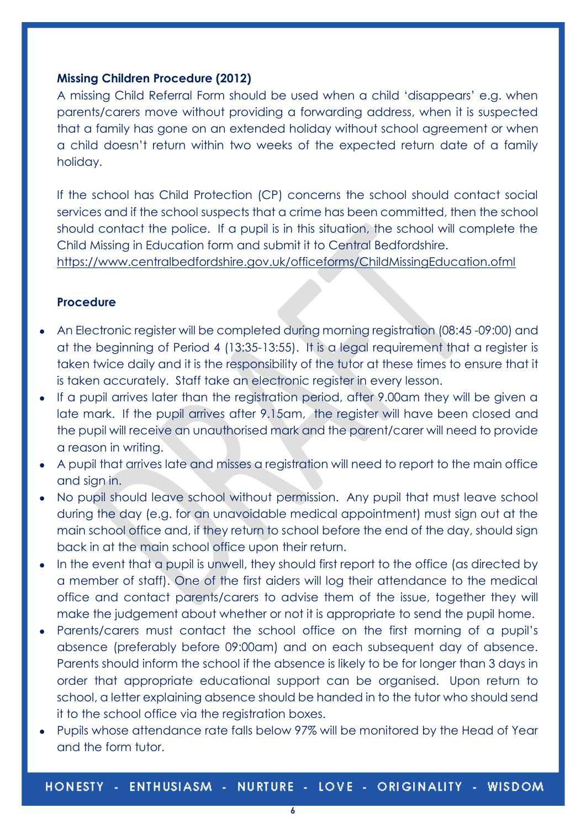# **Missing Children Procedure (2012)**

A missing Child Referral Form should be used when a child 'disappears' e.g. when parents/carers move without providing a forwarding address, when it is suspected that a family has gone on an extended holiday without school agreement or when a child doesn't return within two weeks of the expected return date of a family holiday.

If the school has Child Protection (CP) concerns the school should contact social services and if the school suspects that a crime has been committed, then the school should contact the police. If a pupil is in this situation, the school will complete the Child Missing in Education form and submit it to Central Bedfordshire.

<https://www.centralbedfordshire.gov.uk/officeforms/ChildMissingEducation.ofml>

# **Procedure**

- An Electronic register will be completed during morning registration (08:45 -09:00) and at the beginning of Period 4 (13:35-13:55). It is a legal requirement that a register is taken twice daily and it is the responsibility of the tutor at these times to ensure that it is taken accurately. Staff take an electronic register in every lesson.
- If a pupil arrives later than the registration period, after 9.00am they will be given a late mark. If the pupil arrives after 9.15am, the register will have been closed and the pupil will receive an unauthorised mark and the parent/carer will need to provide a reason in writing.
- A pupil that arrives late and misses a registration will need to report to the main office and sign in.
- No pupil should leave school without permission. Any pupil that must leave school during the day (e.g. for an unavoidable medical appointment) must sign out at the main school office and, if they return to school before the end of the day, should sign back in at the main school office upon their return.
- In the event that a pupil is unwell, they should first report to the office (as directed by a member of staff). One of the first aiders will log their attendance to the medical office and contact parents/carers to advise them of the issue, together they will make the judgement about whether or not it is appropriate to send the pupil home.
- Parents/carers must contact the school office on the first morning of a pupil's absence (preferably before 09:00am) and on each subsequent day of absence. Parents should inform the school if the absence is likely to be for longer than 3 days in order that appropriate educational support can be organised. Upon return to school, a letter explaining absence should be handed in to the tutor who should send it to the school office via the registration boxes.
- Pupils whose attendance rate falls below 97% will be monitored by the Head of Year and the form tutor.